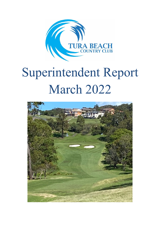

# Superintendent Report March 2022

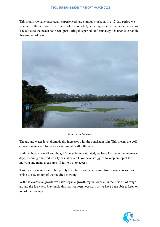This month we have once again experienced large amounts of rain. In a 12-day period we received 358mm of rain. The lower holes were totally submerged on two separate occasions. The outlet to the beach has been open during this period, unfortunately it is unable to handle this amount of rain.



#### *5th hole underwater.*

The ground water level dramatically increases with the consistent rain. This means the golf course remains wet for weeks, even months after the rain.

With the heavy rainfall and the golf course being saturated, we have lost many maintenance days, meaning our productivity has taken a hit. We have struggled to keep on top of the mowing and many areas are still far to wet to access.

This month's maintenance has purely been based on the clean-up from storms, as well as trying to stay on top of the required mowing.

With the excessive growth we have began a growth regulation trial in the first cut of rough around the fairways. Previously this has not been necessary as we have been able to keep on top of the mowing.

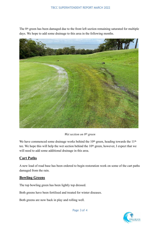The 8th green has been damaged due to the front left section remaining saturated for multiple days. We hope to add some drainage to this area in the following months.



*Wet section on 8th green* 

We have commenced some drainage works behind the 10<sup>th</sup> green, heading towards the 11<sup>th</sup> tee. We hope this will help the wet section behind the 10th green, however, I expect that we will need to add some additional drainage in this area.

## **Cart Paths**

A new load of road base has been ordered to begin restoration work on some of the cart paths damaged from the rain.

## **Bowling Greens**

The top bowling green has been lightly top dressed.

Both greens have been fertilised and treated for winter diseases.

Both greens are now back in play and rolling well.